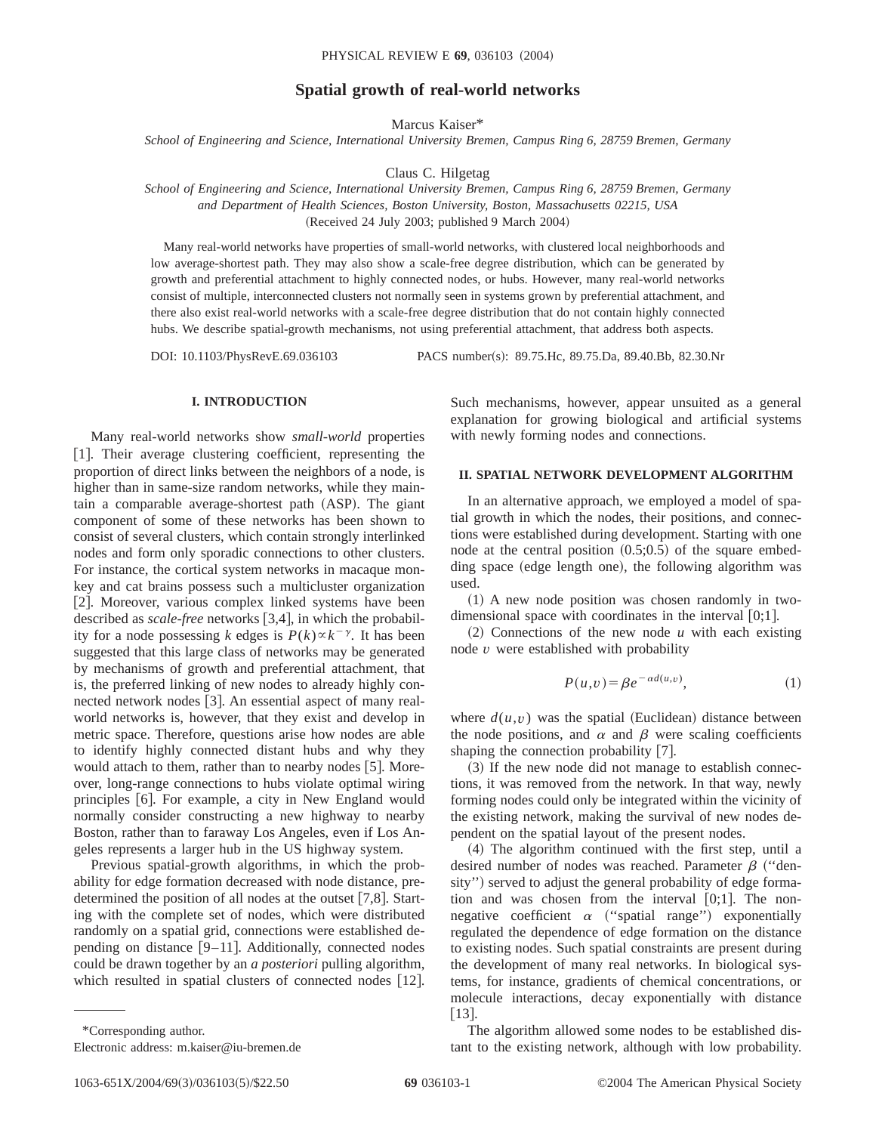# **Spatial growth of real-world networks**

Marcus Kaiser\*

*School of Engineering and Science, International University Bremen, Campus Ring 6, 28759 Bremen, Germany*

Claus C. Hilgetag

*School of Engineering and Science, International University Bremen, Campus Ring 6, 28759 Bremen, Germany and Department of Health Sciences, Boston University, Boston, Massachusetts 02215, USA* (Received 24 July 2003; published 9 March 2004)

Many real-world networks have properties of small-world networks, with clustered local neighborhoods and low average-shortest path. They may also show a scale-free degree distribution, which can be generated by growth and preferential attachment to highly connected nodes, or hubs. However, many real-world networks consist of multiple, interconnected clusters not normally seen in systems grown by preferential attachment, and there also exist real-world networks with a scale-free degree distribution that do not contain highly connected hubs. We describe spatial-growth mechanisms, not using preferential attachment, that address both aspects.

DOI: 10.1103/PhysRevE.69.036103 PACS number(s): 89.75.Hc, 89.75.Da, 89.40.Bb, 82.30.Nr

### **I. INTRODUCTION**

Many real-world networks show *small-world* properties [1]. Their average clustering coefficient, representing the proportion of direct links between the neighbors of a node, is higher than in same-size random networks, while they maintain a comparable average-shortest path (ASP). The giant component of some of these networks has been shown to consist of several clusters, which contain strongly interlinked nodes and form only sporadic connections to other clusters. For instance, the cortical system networks in macaque monkey and cat brains possess such a multicluster organization [2]. Moreover, various complex linked systems have been described as *scale-free* networks [3,4], in which the probability for a node possessing *k* edges is  $P(k) \propto k^{-\gamma}$ . It has been suggested that this large class of networks may be generated by mechanisms of growth and preferential attachment, that is, the preferred linking of new nodes to already highly connected network nodes [3]. An essential aspect of many realworld networks is, however, that they exist and develop in metric space. Therefore, questions arise how nodes are able to identify highly connected distant hubs and why they would attach to them, rather than to nearby nodes  $[5]$ . Moreover, long-range connections to hubs violate optimal wiring principles [6]. For example, a city in New England would normally consider constructing a new highway to nearby Boston, rather than to faraway Los Angeles, even if Los Angeles represents a larger hub in the US highway system.

Previous spatial-growth algorithms, in which the probability for edge formation decreased with node distance, predetermined the position of all nodes at the outset  $[7,8]$ . Starting with the complete set of nodes, which were distributed randomly on a spatial grid, connections were established depending on distance  $[9-11]$ . Additionally, connected nodes could be drawn together by an *a posteriori* pulling algorithm, which resulted in spatial clusters of connected nodes  $[12]$ . Such mechanisms, however, appear unsuited as a general explanation for growing biological and artificial systems with newly forming nodes and connections.

## **II. SPATIAL NETWORK DEVELOPMENT ALGORITHM**

In an alternative approach, we employed a model of spatial growth in which the nodes, their positions, and connections were established during development. Starting with one node at the central position  $(0.5;0.5)$  of the square embedding space (edge length one), the following algorithm was used.

 $(1)$  A new node position was chosen randomly in twodimensional space with coordinates in the interval  $[0;1]$ .

 $(2)$  Connections of the new node *u* with each existing node *v* were established with probability

$$
P(u,v) = \beta e^{-\alpha d(u,v)},\tag{1}
$$

where  $d(u, v)$  was the spatial (Euclidean) distance between the node positions, and  $\alpha$  and  $\beta$  were scaling coefficients shaping the connection probability  $[7]$ .

 $(3)$  If the new node did not manage to establish connections, it was removed from the network. In that way, newly forming nodes could only be integrated within the vicinity of the existing network, making the survival of new nodes dependent on the spatial layout of the present nodes.

(4) The algorithm continued with the first step, until a desired number of nodes was reached. Parameter  $\beta$  ("density") served to adjust the general probability of edge formation and was chosen from the interval  $[0,1]$ . The nonnegative coefficient  $\alpha$  ("spatial range") exponentially regulated the dependence of edge formation on the distance to existing nodes. Such spatial constraints are present during the development of many real networks. In biological systems, for instance, gradients of chemical concentrations, or molecule interactions, decay exponentially with distance  $|13|$ .

The algorithm allowed some nodes to be established distant to the existing network, although with low probability.

<sup>\*</sup>Corresponding author.

Electronic address: m.kaiser@iu-bremen.de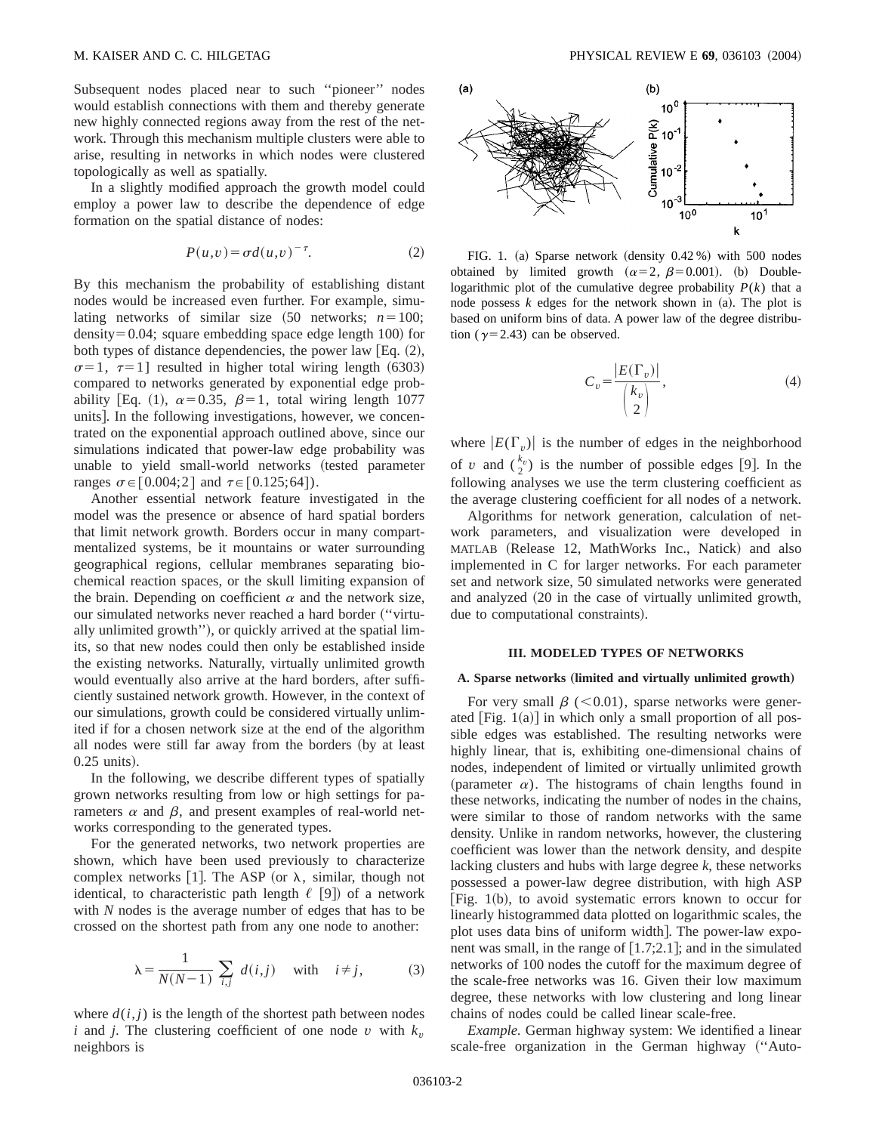Subsequent nodes placed near to such ''pioneer'' nodes would establish connections with them and thereby generate new highly connected regions away from the rest of the network. Through this mechanism multiple clusters were able to arise, resulting in networks in which nodes were clustered topologically as well as spatially.

In a slightly modified approach the growth model could employ a power law to describe the dependence of edge formation on the spatial distance of nodes:

$$
P(u,v) = \sigma d(u,v)^{-\tau}.
$$
 (2)

By this mechanism the probability of establishing distant nodes would be increased even further. For example, simulating networks of similar size  $(50$  networks;  $n=100$ ; density $=0.04$ ; square embedding space edge length 100) for both types of distance dependencies, the power law  $[Eq. (2),]$  $\sigma=1$ ,  $\tau=1$ ] resulted in higher total wiring length (6303) compared to networks generated by exponential edge probability [Eq. (1),  $\alpha=0.35$ ,  $\beta=1$ , total wiring length 1077 units]. In the following investigations, however, we concentrated on the exponential approach outlined above, since our simulations indicated that power-law edge probability was unable to yield small-world networks (tested parameter ranges  $\sigma \in [0.004; 2]$  and  $\tau \in [0.125; 64]$ ).

Another essential network feature investigated in the model was the presence or absence of hard spatial borders that limit network growth. Borders occur in many compartmentalized systems, be it mountains or water surrounding geographical regions, cellular membranes separating biochemical reaction spaces, or the skull limiting expansion of the brain. Depending on coefficient  $\alpha$  and the network size, our simulated networks never reached a hard border ("virtually unlimited growth"), or quickly arrived at the spatial limits, so that new nodes could then only be established inside the existing networks. Naturally, virtually unlimited growth would eventually also arrive at the hard borders, after sufficiently sustained network growth. However, in the context of our simulations, growth could be considered virtually unlimited if for a chosen network size at the end of the algorithm all nodes were still far away from the borders (by at least  $0.25$  units).

In the following, we describe different types of spatially grown networks resulting from low or high settings for parameters  $\alpha$  and  $\beta$ , and present examples of real-world networks corresponding to the generated types.

For the generated networks, two network properties are shown, which have been used previously to characterize complex networks [1]. The ASP (or  $\lambda$ , similar, though not identical, to characteristic path length  $\ell$  [9]) of a network with *N* nodes is the average number of edges that has to be crossed on the shortest path from any one node to another:

$$
\lambda = \frac{1}{N(N-1)} \sum_{i,j} d(i,j) \quad \text{with} \quad i \neq j,
$$
 (3)

where  $d(i, j)$  is the length of the shortest path between nodes *i* and *j*. The clustering coefficient of one node *v* with  $k_v$ neighbors is



FIG. 1. (a) Sparse network  $(density  $0.42\%$  with 500 nodes$ obtained by limited growth  $(\alpha=2, \beta=0.001)$ . (b) Doublelogarithmic plot of the cumulative degree probability  $P(k)$  that a node possess  $k$  edges for the network shown in  $(a)$ . The plot is based on uniform bins of data. A power law of the degree distribution ( $\gamma$ =2.43) can be observed.

$$
C_v = \frac{|E(\Gamma_v)|}{\binom{k_v}{2}},\tag{4}
$$

where  $|E(\Gamma_v)|$  is the number of edges in the neighborhood of *v* and  $\binom{k_v}{2}$  is the number of possible edges [9]. In the following analyses we use the term clustering coefficient as the average clustering coefficient for all nodes of a network.

Algorithms for network generation, calculation of network parameters, and visualization were developed in MATLAB (Release 12, MathWorks Inc., Natick) and also implemented in C for larger networks. For each parameter set and network size, 50 simulated networks were generated and analyzed (20 in the case of virtually unlimited growth, due to computational constraints).

#### **III. MODELED TYPES OF NETWORKS**

#### A. Sparse networks (limited and virtually unlimited growth)

For very small  $\beta$  ( $< 0.01$ ), sparse networks were generated  $[Fig. 1(a)]$  in which only a small proportion of all possible edges was established. The resulting networks were highly linear, that is, exhibiting one-dimensional chains of nodes, independent of limited or virtually unlimited growth (parameter  $\alpha$ ). The histograms of chain lengths found in these networks, indicating the number of nodes in the chains, were similar to those of random networks with the same density. Unlike in random networks, however, the clustering coefficient was lower than the network density, and despite lacking clusters and hubs with large degree *k*, these networks possessed a power-law degree distribution, with high ASP [Fig.  $1(b)$ , to avoid systematic errors known to occur for linearly histogrammed data plotted on logarithmic scales, the plot uses data bins of uniform width. The power-law exponent was small, in the range of  $[1.7;2.1]$ ; and in the simulated networks of 100 nodes the cutoff for the maximum degree of the scale-free networks was 16. Given their low maximum degree, these networks with low clustering and long linear chains of nodes could be called linear scale-free.

*Example.* German highway system: We identified a linear scale-free organization in the German highway ("Auto-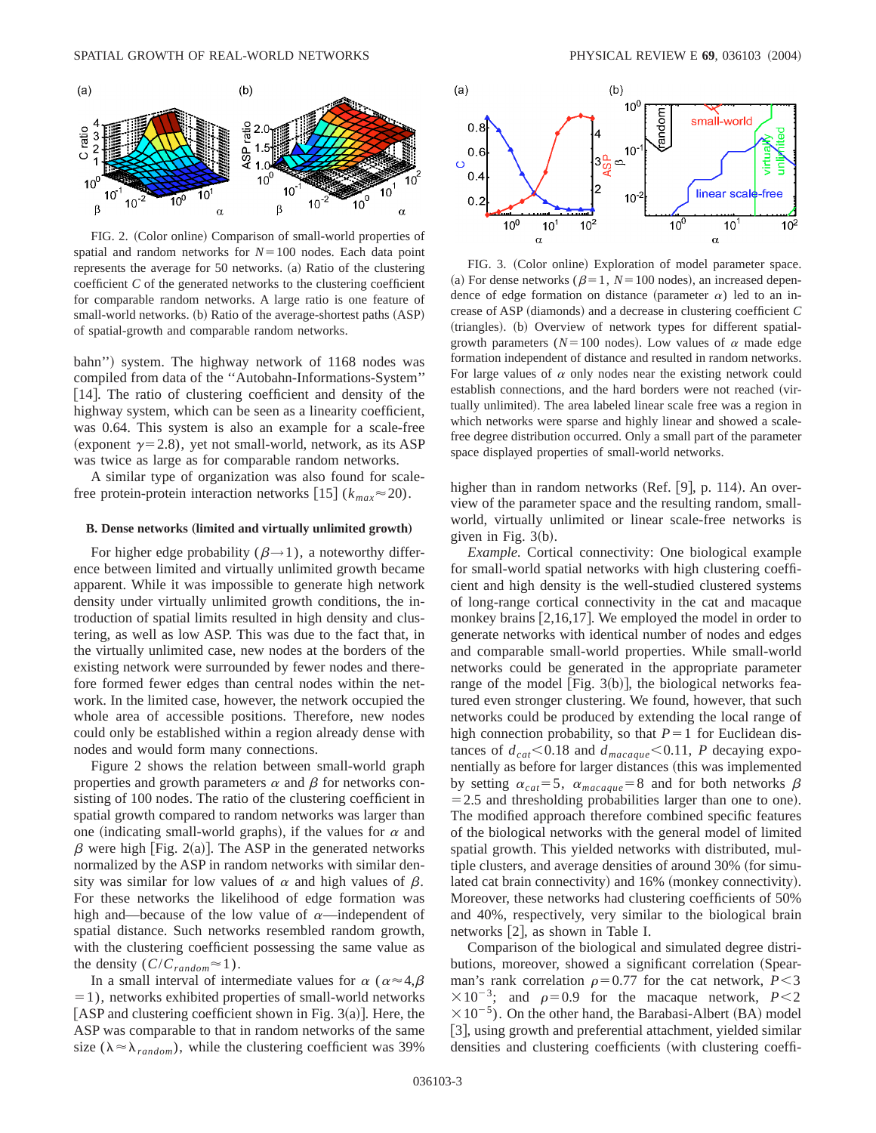

FIG. 2. (Color online) Comparison of small-world properties of spatial and random networks for  $N=100$  nodes. Each data point represents the average for  $50$  networks.  $(a)$  Ratio of the clustering coefficient *C* of the generated networks to the clustering coefficient for comparable random networks. A large ratio is one feature of small-world networks. (b) Ratio of the average-shortest paths (ASP) of spatial-growth and comparable random networks.

bahn") system. The highway network of 1168 nodes was compiled from data of the ''Autobahn-Informations-System'' [14]. The ratio of clustering coefficient and density of the highway system, which can be seen as a linearity coefficient, was 0.64. This system is also an example for a scale-free (exponent  $\gamma$ =2.8), yet not small-world, network, as its ASP was twice as large as for comparable random networks.

A similar type of organization was also found for scalefree protein-protein interaction networks  $[15]$  ( $k_{max} \approx 20$ ).

#### **B. Dense networks** (limited and virtually unlimited growth)

For higher edge probability ( $\beta \rightarrow 1$ ), a noteworthy difference between limited and virtually unlimited growth became apparent. While it was impossible to generate high network density under virtually unlimited growth conditions, the introduction of spatial limits resulted in high density and clustering, as well as low ASP. This was due to the fact that, in the virtually unlimited case, new nodes at the borders of the existing network were surrounded by fewer nodes and therefore formed fewer edges than central nodes within the network. In the limited case, however, the network occupied the whole area of accessible positions. Therefore, new nodes could only be established within a region already dense with nodes and would form many connections.

Figure 2 shows the relation between small-world graph properties and growth parameters  $\alpha$  and  $\beta$  for networks consisting of 100 nodes. The ratio of the clustering coefficient in spatial growth compared to random networks was larger than one (indicating small-world graphs), if the values for  $\alpha$  and  $\beta$  were high [Fig. 2(a)]. The ASP in the generated networks normalized by the ASP in random networks with similar density was similar for low values of  $\alpha$  and high values of  $\beta$ . For these networks the likelihood of edge formation was high and—because of the low value of  $\alpha$ —independent of spatial distance. Such networks resembled random growth, with the clustering coefficient possessing the same value as the density  $(C/C_{random} \approx 1)$ .

In a small interval of intermediate values for  $\alpha$  ( $\alpha \approx 4,\beta$ )  $=1$ ), networks exhibited properties of small-world networks [ASP and clustering coefficient shown in Fig. 3(a)]. Here, the ASP was comparable to that in random networks of the same size ( $\lambda \approx \lambda_{random}$ ), while the clustering coefficient was 39%



FIG. 3. (Color online) Exploration of model parameter space. (a) For dense networks ( $\beta=1$ ,  $N=100$  nodes), an increased dependence of edge formation on distance (parameter  $\alpha$ ) led to an increase of ASP  $(diamond)$  and a decrease in clustering coefficient  $C$ (triangles). (b) Overview of network types for different spatialgrowth parameters ( $N=100$  nodes). Low values of  $\alpha$  made edge formation independent of distance and resulted in random networks. For large values of  $\alpha$  only nodes near the existing network could establish connections, and the hard borders were not reached (virtually unlimited). The area labeled linear scale free was a region in which networks were sparse and highly linear and showed a scalefree degree distribution occurred. Only a small part of the parameter space displayed properties of small-world networks.

higher than in random networks (Ref.  $[9]$ , p. 114). An overview of the parameter space and the resulting random, smallworld, virtually unlimited or linear scale-free networks is given in Fig.  $3(b)$ .

*Example.* Cortical connectivity: One biological example for small-world spatial networks with high clustering coefficient and high density is the well-studied clustered systems of long-range cortical connectivity in the cat and macaque monkey brains  $\left[2,16,17\right]$ . We employed the model in order to generate networks with identical number of nodes and edges and comparable small-world properties. While small-world networks could be generated in the appropriate parameter range of the model [Fig.  $3(b)$ ], the biological networks featured even stronger clustering. We found, however, that such networks could be produced by extending the local range of high connection probability, so that  $P=1$  for Euclidean distances of  $d_{cat} < 0.18$  and  $d_{macaque} < 0.11$ , *P* decaying exponentially as before for larger distances (this was implemented by setting  $\alpha_{cat} = 5$ ,  $\alpha_{macaque} = 8$  and for both networks  $\beta$  $=$  2.5 and thresholding probabilities larger than one to one). The modified approach therefore combined specific features of the biological networks with the general model of limited spatial growth. This yielded networks with distributed, multiple clusters, and average densities of around 30% (for simulated cat brain connectivity) and 16% (monkey connectivity). Moreover, these networks had clustering coefficients of 50% and 40%, respectively, very similar to the biological brain networks  $[2]$ , as shown in Table I.

Comparison of the biological and simulated degree distributions, moreover, showed a significant correlation (Spearman's rank correlation  $\rho$ =0.77 for the cat network, *P*<3  $\times 10^{-3}$ ; and  $\rho = 0.9$  for the macaque network,  $P < 2$  $\times 10^{-5}$ ). On the other hand, the Barabasi-Albert (BA) model [3], using growth and preferential attachment, yielded similar densities and clustering coefficients (with clustering coeffi-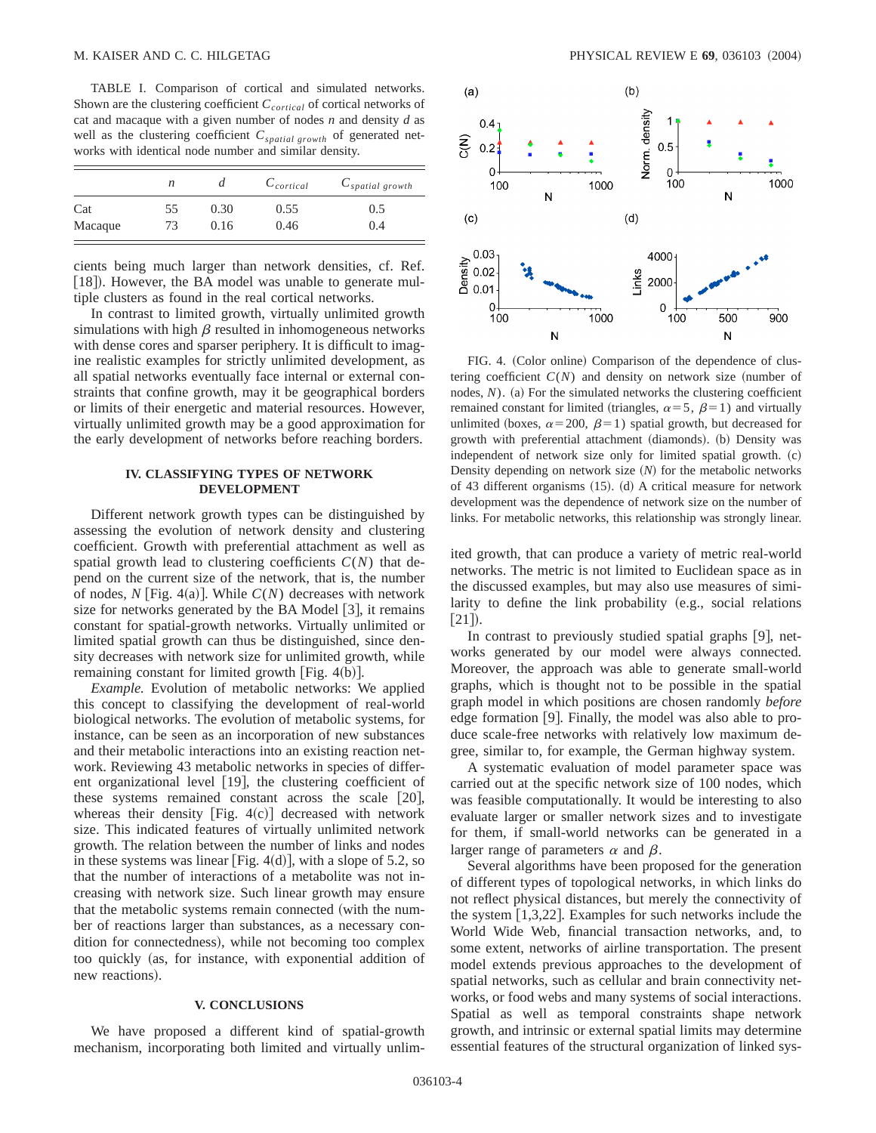TABLE I. Comparison of cortical and simulated networks. Shown are the clustering coefficient *C*<sub>cortical</sub> of cortical networks of cat and macaque with a given number of nodes *n* and density *d* as well as the clustering coefficient  $C_{spatial\ growth}$  of generated networks with identical node number and similar density.

|         | n  | $\iota$ | $C_{cortical}$ | $C_{spatial\ growth}$ |
|---------|----|---------|----------------|-----------------------|
| Cat     | 55 | 0.30    | 0.55           | 0.5                   |
| Macaque | 73 | 0.16    | 0.46           | 0.4                   |

cients being much larger than network densities, cf. Ref. [18]). However, the BA model was unable to generate multiple clusters as found in the real cortical networks.

In contrast to limited growth, virtually unlimited growth simulations with high  $\beta$  resulted in inhomogeneous networks with dense cores and sparser periphery. It is difficult to imagine realistic examples for strictly unlimited development, as all spatial networks eventually face internal or external constraints that confine growth, may it be geographical borders or limits of their energetic and material resources. However, virtually unlimited growth may be a good approximation for the early development of networks before reaching borders.

## **IV. CLASSIFYING TYPES OF NETWORK DEVELOPMENT**

Different network growth types can be distinguished by assessing the evolution of network density and clustering coefficient. Growth with preferential attachment as well as spatial growth lead to clustering coefficients *C*(*N*) that depend on the current size of the network, that is, the number of nodes,  $N$  [Fig. 4(a)]. While  $C(N)$  decreases with network size for networks generated by the BA Model  $|3|$ , it remains constant for spatial-growth networks. Virtually unlimited or limited spatial growth can thus be distinguished, since density decreases with network size for unlimited growth, while remaining constant for limited growth  $\lceil$  Fig. 4(b) $\rceil$ .

*Example.* Evolution of metabolic networks: We applied this concept to classifying the development of real-world biological networks. The evolution of metabolic systems, for instance, can be seen as an incorporation of new substances and their metabolic interactions into an existing reaction network. Reviewing 43 metabolic networks in species of different organizational level  $[19]$ , the clustering coefficient of these systems remained constant across the scale  $[20]$ , whereas their density  $[Fig. 4(c)]$  decreased with network size. This indicated features of virtually unlimited network growth. The relation between the number of links and nodes in these systems was linear [Fig. 4 $(d)$ ], with a slope of 5.2, so that the number of interactions of a metabolite was not increasing with network size. Such linear growth may ensure that the metabolic systems remain connected (with the number of reactions larger than substances, as a necessary condition for connectedness), while not becoming too complex too quickly (as, for instance, with exponential addition of new reactions).

### **V. CONCLUSIONS**

We have proposed a different kind of spatial-growth mechanism, incorporating both limited and virtually unlim-



FIG. 4. (Color online) Comparison of the dependence of clustering coefficient  $C(N)$  and density on network size (number of nodes,  $N$ ). (a) For the simulated networks the clustering coefficient remained constant for limited (triangles,  $\alpha=5$ ,  $\beta=1$ ) and virtually unlimited (boxes,  $\alpha$ =200,  $\beta$ =1) spatial growth, but decreased for growth with preferential attachment (diamonds). (b) Density was independent of network size only for limited spatial growth.  $(c)$ Density depending on network size (N) for the metabolic networks of 43 different organisms  $(15)$ .  $(d)$  A critical measure for network development was the dependence of network size on the number of links. For metabolic networks, this relationship was strongly linear.

ited growth, that can produce a variety of metric real-world networks. The metric is not limited to Euclidean space as in the discussed examples, but may also use measures of similarity to define the link probability  $(e.g., social relations)$  $[21]$ .

In contrast to previously studied spatial graphs  $[9]$ , networks generated by our model were always connected. Moreover, the approach was able to generate small-world graphs, which is thought not to be possible in the spatial graph model in which positions are chosen randomly *before* edge formation  $[9]$ . Finally, the model was also able to produce scale-free networks with relatively low maximum degree, similar to, for example, the German highway system.

A systematic evaluation of model parameter space was carried out at the specific network size of 100 nodes, which was feasible computationally. It would be interesting to also evaluate larger or smaller network sizes and to investigate for them, if small-world networks can be generated in a larger range of parameters  $\alpha$  and  $\beta$ .

Several algorithms have been proposed for the generation of different types of topological networks, in which links do not reflect physical distances, but merely the connectivity of the system  $[1,3,22]$ . Examples for such networks include the World Wide Web, financial transaction networks, and, to some extent, networks of airline transportation. The present model extends previous approaches to the development of spatial networks, such as cellular and brain connectivity networks, or food webs and many systems of social interactions. Spatial as well as temporal constraints shape network growth, and intrinsic or external spatial limits may determine essential features of the structural organization of linked sys